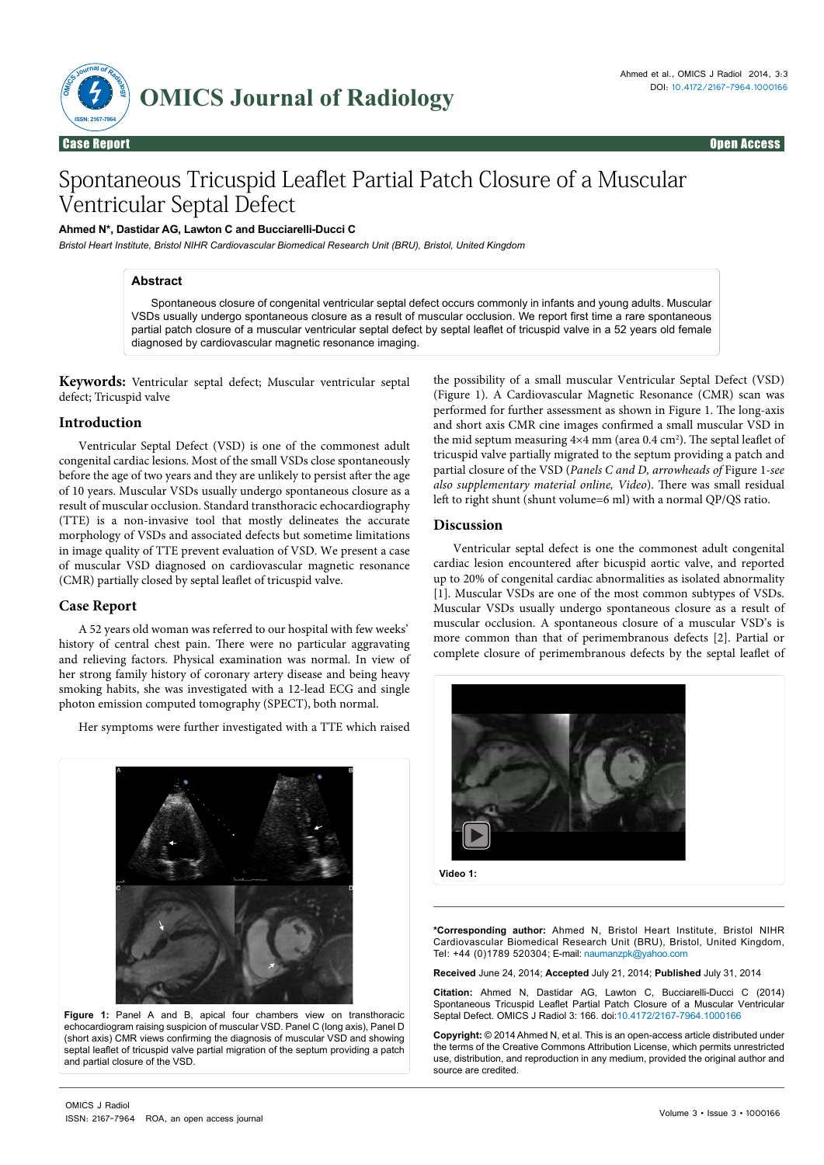

# Spontaneous Tricuspid Leaflet Partial Patch Closure of a Muscular Ventricular Septal Defect

**Ahmed N\*, Dastidar AG, Lawton C and Bucciarelli-Ducci C** 

*Bristol Heart Institute, Bristol NIHR Cardiovascular Biomedical Research Unit (BRU), Bristol, United Kingdom*

## **Abstract**

Spontaneous closure of congenital ventricular septal defect occurs commonly in infants and young adults. Muscular VSDs usually undergo spontaneous closure as a result of muscular occlusion. We report first time a rare spontaneous partial patch closure of a muscular ventricular septal defect by septal leaflet of tricuspid valve in a 52 years old female diagnosed by cardiovascular magnetic resonance imaging.

**Keywords:** Ventricular septal defect; Muscular ventricular septal defect; Tricuspid valve

### **Introduction**

Ventricular Septal Defect (VSD) is one of the commonest adult congenital cardiac lesions. Most of the small VSDs close spontaneously before the age of two years and they are unlikely to persist after the age of 10 years. Muscular VSDs usually undergo spontaneous closure as a result of muscular occlusion. Standard transthoracic echocardiography (TTE) is a non-invasive tool that mostly delineates the accurate morphology of VSDs and associated defects but sometime limitations in image quality of TTE prevent evaluation of VSD. We present a case of muscular VSD diagnosed on cardiovascular magnetic resonance (CMR) partially closed by septal leaflet of tricuspid valve.

### **Case Report**

A 52 years old woman was referred to our hospital with few weeks' history of central chest pain. There were no particular aggravating and relieving factors. Physical examination was normal. In view of her strong family history of coronary artery disease and being heavy smoking habits, she was investigated with a 12-lead ECG and single photon emission computed tomography (SPECT), both normal.

Her symptoms were further investigated with a TTE which raised



**Figure 1:** Panel A and B, apical four chambers view on transthoracic echocardiogram raising suspicion of muscular VSD. Panel C (long axis), Panel D (short axis) CMR views confirming the diagnosis of muscular VSD and showing septal leaflet of tricuspid valve partial migration of the septum providing a patch and partial closure of the VSD.

the possibility of a small muscular Ventricular Septal Defect (VSD) (Figure 1). A Cardiovascular Magnetic Resonance (CMR) scan was performed for further assessment as shown in Figure 1. The long-axis and short axis CMR cine images confirmed a small muscular VSD in the mid septum measuring  $4\times4$  mm (area 0.4 cm<sup>2</sup>). The septal leaflet of tricuspid valve partially migrated to the septum providing a patch and partial closure of the VSD (*Panels C and D, arrowheads of* Figure 1*-see also supplementary material online, Video*). There was small residual left to right shunt (shunt volume=6 ml) with a normal QP/QS ratio.

## **Discussion**

Ventricular septal defect is one the commonest adult congenital cardiac lesion encountered after bicuspid aortic valve, and reported up to 20% of congenital cardiac abnormalities as isolated abnormality [1]. Muscular VSDs are one of the most common subtypes of VSDs. Muscular VSDs usually undergo spontaneous closure as a result of muscular occlusion. A spontaneous closure of a muscular VSD's is more common than that of perimembranous defects [2]. Partial or complete closure of perimembranous defects by the septal leaflet of



**\*Corresponding author:** Ahmed N, Bristol Heart Institute, Bristol NIHR Cardiovascular Biomedical Research Unit (BRU), Bristol, United Kingdom, Tel: +44 (0)1789 520304; E-mail: naumanzpk@yahoo.com

**Received** June 24, 2014; **Accepted** July 21, 2014; **Published** July 31, 2014

**Citation:** Ahmed N, Dastidar AG, Lawton C, Bucciarelli-Ducci C (2014) Spontaneous Tricuspid Leaflet Partial Patch Closure of a Muscular Ventricular Septal Defect. OMICS J Radiol 3: 166. doi:10.4172/2167-7964.1000166

**Copyright:** © 2014 Ahmed N, et al. This is an open-access article distributed under the terms of the Creative Commons Attribution License, which permits unrestricted use, distribution, and reproduction in any medium, provided the original author and source are credited.